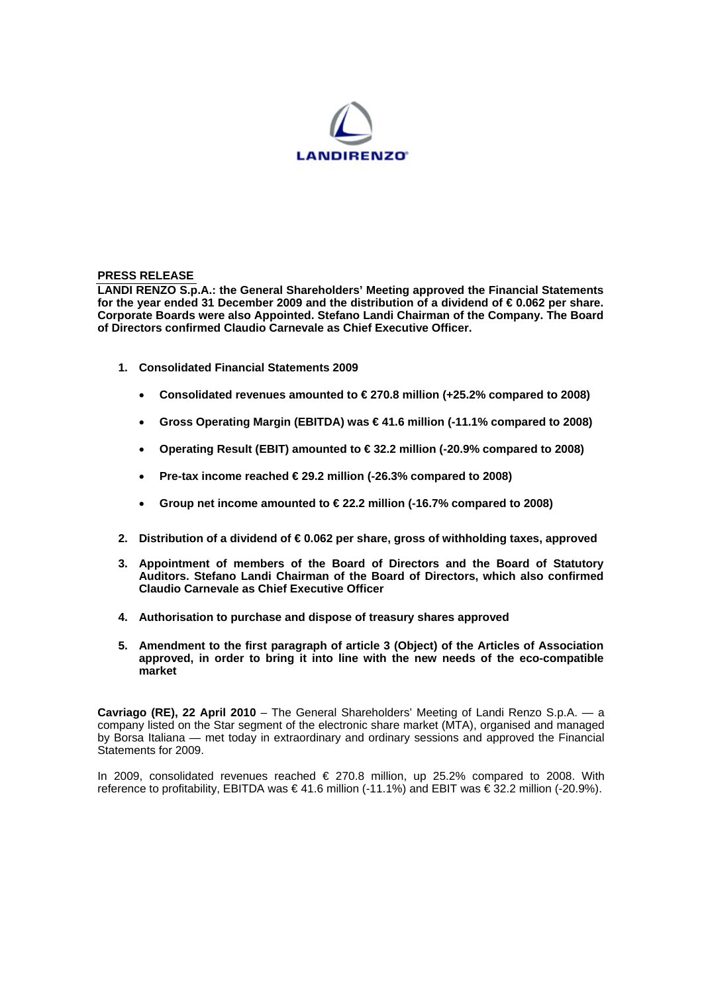

## **PRESS RELEASE**

**LANDI RENZO S.p.A.: the General Shareholders' Meeting approved the Financial Statements for the year ended 31 December 2009 and the distribution of a dividend of € 0.062 per share. Corporate Boards were also Appointed. Stefano Landi Chairman of the Company. The Board of Directors confirmed Claudio Carnevale as Chief Executive Officer.**

- **1. Consolidated Financial Statements 2009** 
	- **Consolidated revenues amounted to € 270.8 million (+25.2% compared to 2008)**
	- **Gross Operating Margin (EBITDA) was € 41.6 million (-11.1% compared to 2008)**
	- **Operating Result (EBIT) amounted to € 32.2 million (-20.9% compared to 2008)**
	- **Pre-tax income reached € 29.2 million (-26.3% compared to 2008)**
	- **Group net income amounted to € 22.2 million (-16.7% compared to 2008)**
- **2. Distribution of a dividend of € 0.062 per share, gross of withholding taxes, approved**
- **3. Appointment of members of the Board of Directors and the Board of Statutory Auditors. Stefano Landi Chairman of the Board of Directors, which also confirmed Claudio Carnevale as Chief Executive Officer**
- **4. Authorisation to purchase and dispose of treasury shares approved**
- **5. Amendment to the first paragraph of article 3 (Object) of the Articles of Association approved, in order to bring it into line with the new needs of the eco-compatible market**

**Cavriago (RE), 22 April 2010** – The General Shareholders' Meeting of Landi Renzo S.p.A. — a company listed on the Star segment of the electronic share market (MTA), organised and managed by Borsa Italiana — met today in extraordinary and ordinary sessions and approved the Financial Statements for 2009.

In 2009, consolidated revenues reached € 270.8 million, up 25.2% compared to 2008. With reference to profitability, EBITDA was € 41.6 million (-11.1%) and EBIT was € 32.2 million (-20.9%).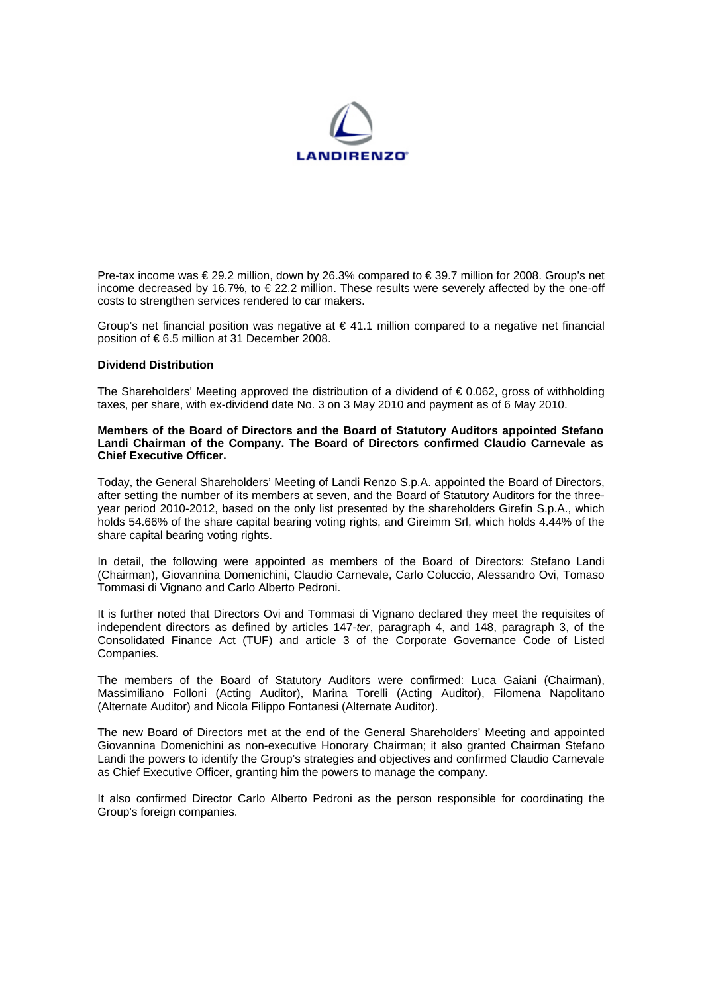

Pre-tax income was € 29.2 million, down by 26.3% compared to € 39.7 million for 2008. Group's net income decreased by 16.7%, to  $\in$  22.2 million. These results were severely affected by the one-off costs to strengthen services rendered to car makers.

Group's net financial position was negative at  $\epsilon$  41.1 million compared to a negative net financial position of € 6.5 million at 31 December 2008.

### **Dividend Distribution**

The Shareholders' Meeting approved the distribution of a dividend of  $\epsilon$  0.062, gross of withholding taxes, per share, with ex-dividend date No. 3 on 3 May 2010 and payment as of 6 May 2010.

#### **Members of the Board of Directors and the Board of Statutory Auditors appointed Stefano Landi Chairman of the Company. The Board of Directors confirmed Claudio Carnevale as Chief Executive Officer.**

Today, the General Shareholders' Meeting of Landi Renzo S.p.A. appointed the Board of Directors, after setting the number of its members at seven, and the Board of Statutory Auditors for the threeyear period 2010-2012, based on the only list presented by the shareholders Girefin S.p.A., which holds 54.66% of the share capital bearing voting rights, and Gireimm Srl, which holds 4.44% of the share capital bearing voting rights.

In detail, the following were appointed as members of the Board of Directors: Stefano Landi (Chairman), Giovannina Domenichini, Claudio Carnevale, Carlo Coluccio, Alessandro Ovi, Tomaso Tommasi di Vignano and Carlo Alberto Pedroni.

It is further noted that Directors Ovi and Tommasi di Vignano declared they meet the requisites of independent directors as defined by articles 147-*ter*, paragraph 4, and 148, paragraph 3, of the Consolidated Finance Act (TUF) and article 3 of the Corporate Governance Code of Listed Companies.

The members of the Board of Statutory Auditors were confirmed: Luca Gaiani (Chairman), Massimiliano Folloni (Acting Auditor), Marina Torelli (Acting Auditor), Filomena Napolitano (Alternate Auditor) and Nicola Filippo Fontanesi (Alternate Auditor).

The new Board of Directors met at the end of the General Shareholders' Meeting and appointed Giovannina Domenichini as non-executive Honorary Chairman; it also granted Chairman Stefano Landi the powers to identify the Group's strategies and objectives and confirmed Claudio Carnevale as Chief Executive Officer, granting him the powers to manage the company.

It also confirmed Director Carlo Alberto Pedroni as the person responsible for coordinating the Group's foreign companies.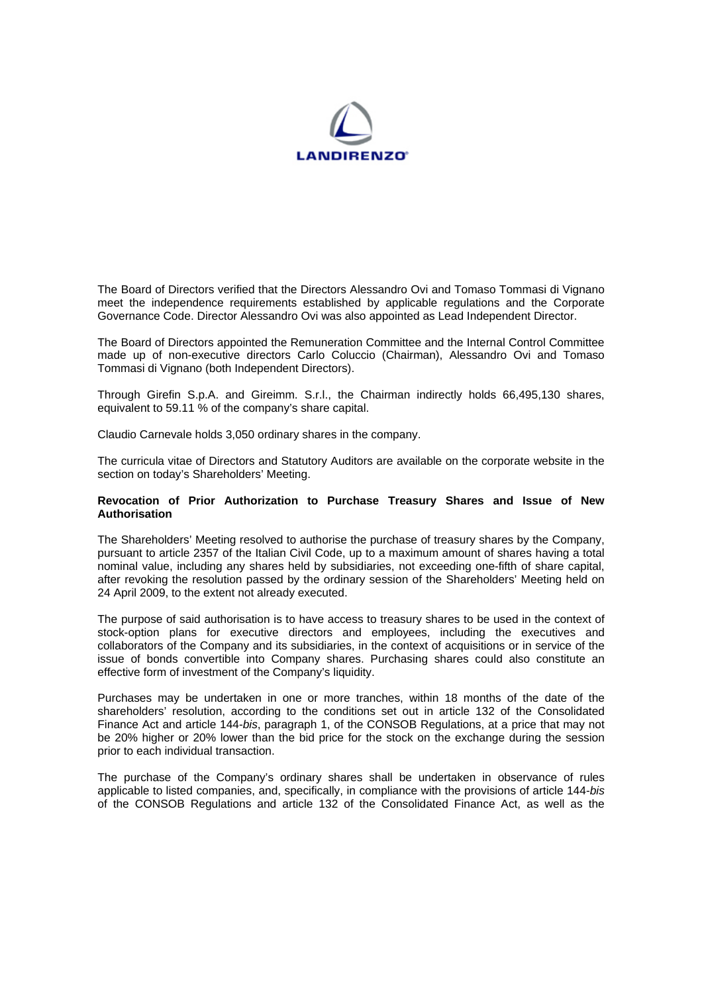

The Board of Directors verified that the Directors Alessandro Ovi and Tomaso Tommasi di Vignano meet the independence requirements established by applicable regulations and the Corporate Governance Code. Director Alessandro Ovi was also appointed as Lead Independent Director.

The Board of Directors appointed the Remuneration Committee and the Internal Control Committee made up of non-executive directors Carlo Coluccio (Chairman), Alessandro Ovi and Tomaso Tommasi di Vignano (both Independent Directors).

Through Girefin S.p.A. and Gireimm. S.r.l., the Chairman indirectly holds 66,495,130 shares, equivalent to 59.11 % of the company's share capital.

Claudio Carnevale holds 3,050 ordinary shares in the company.

The curricula vitae of Directors and Statutory Auditors are available on the corporate website in the section on today's Shareholders' Meeting.

# **Revocation of Prior Authorization to Purchase Treasury Shares and Issue of New Authorisation**

The Shareholders' Meeting resolved to authorise the purchase of treasury shares by the Company, pursuant to article 2357 of the Italian Civil Code, up to a maximum amount of shares having a total nominal value, including any shares held by subsidiaries, not exceeding one-fifth of share capital, after revoking the resolution passed by the ordinary session of the Shareholders' Meeting held on 24 April 2009, to the extent not already executed.

The purpose of said authorisation is to have access to treasury shares to be used in the context of stock-option plans for executive directors and employees, including the executives and collaborators of the Company and its subsidiaries, in the context of acquisitions or in service of the issue of bonds convertible into Company shares. Purchasing shares could also constitute an effective form of investment of the Company's liquidity.

Purchases may be undertaken in one or more tranches, within 18 months of the date of the shareholders' resolution, according to the conditions set out in article 132 of the Consolidated Finance Act and article 144-*bis*, paragraph 1, of the CONSOB Regulations, at a price that may not be 20% higher or 20% lower than the bid price for the stock on the exchange during the session prior to each individual transaction.

The purchase of the Company's ordinary shares shall be undertaken in observance of rules applicable to listed companies, and, specifically, in compliance with the provisions of article 144-*bis*  of the CONSOB Regulations and article 132 of the Consolidated Finance Act, as well as the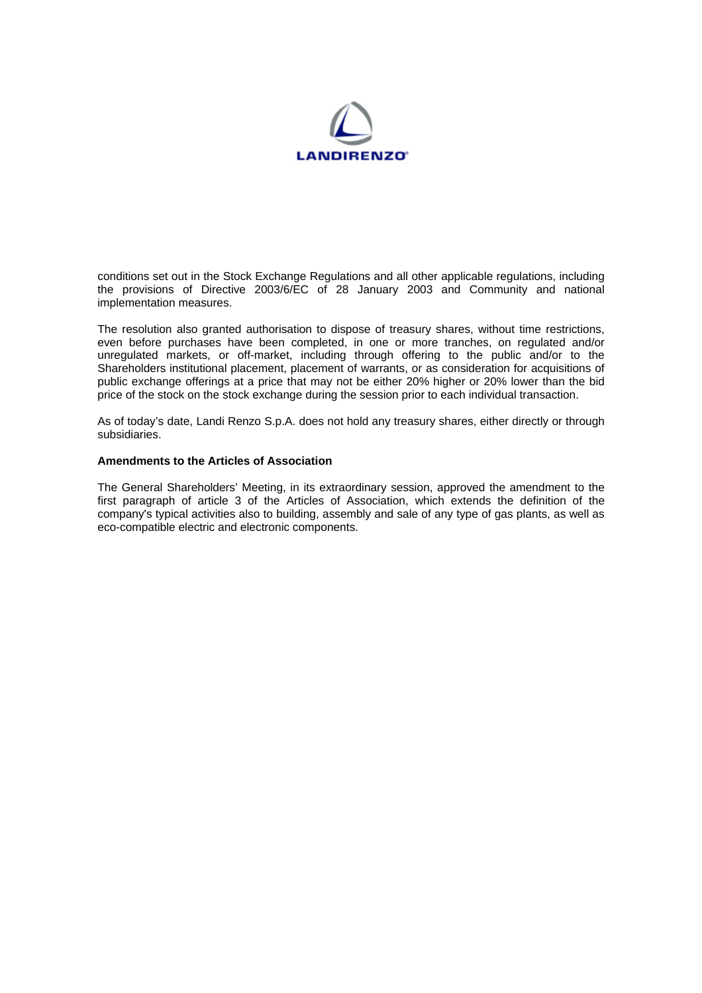

conditions set out in the Stock Exchange Regulations and all other applicable regulations, including the provisions of Directive 2003/6/EC of 28 January 2003 and Community and national implementation measures.

The resolution also granted authorisation to dispose of treasury shares, without time restrictions, even before purchases have been completed, in one or more tranches, on regulated and/or unregulated markets, or off-market, including through offering to the public and/or to the Shareholders institutional placement, placement of warrants, or as consideration for acquisitions of public exchange offerings at a price that may not be either 20% higher or 20% lower than the bid price of the stock on the stock exchange during the session prior to each individual transaction.

As of today's date, Landi Renzo S.p.A. does not hold any treasury shares, either directly or through subsidiaries.

# **Amendments to the Articles of Association**

The General Shareholders' Meeting, in its extraordinary session, approved the amendment to the first paragraph of article 3 of the Articles of Association, which extends the definition of the company's typical activities also to building, assembly and sale of any type of gas plants, as well as eco-compatible electric and electronic components.